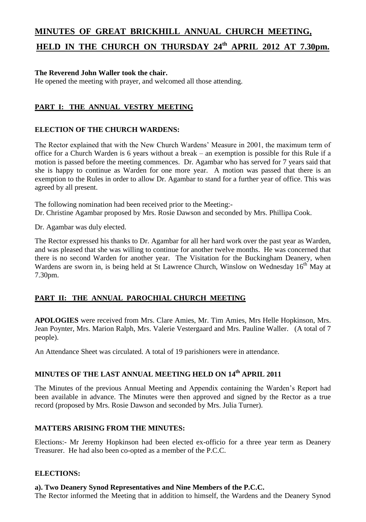# **MINUTES OF GREAT BRICKHILL ANNUAL CHURCH MEETING,**

# **HELD IN THE CHURCH ON THURSDAY 24 th APRIL 2012 AT 7.30pm.**

# **The Reverend John Waller took the chair.**

He opened the meeting with prayer, and welcomed all those attending.

# **PART I: THE ANNUAL VESTRY MEETING**

# **ELECTION OF THE CHURCH WARDENS:**

The Rector explained that with the New Church Wardens' Measure in 2001, the maximum term of office for a Church Warden is 6 years without a break – an exemption is possible for this Rule if a motion is passed before the meeting commences. Dr. Agambar who has served for 7 years said that she is happy to continue as Warden for one more year. A motion was passed that there is an exemption to the Rules in order to allow Dr. Agambar to stand for a further year of office. This was agreed by all present.

The following nomination had been received prior to the Meeting:- Dr. Christine Agambar proposed by Mrs. Rosie Dawson and seconded by Mrs. Phillipa Cook.

Dr. Agambar was duly elected.

The Rector expressed his thanks to Dr. Agambar for all her hard work over the past year as Warden, and was pleased that she was willing to continue for another twelve months. He was concerned that there is no second Warden for another year. The Visitation for the Buckingham Deanery, when Wardens are sworn in, is being held at St Lawrence Church, Winslow on Wednesday 16<sup>th</sup> May at 7.30pm.

# **PART II: THE ANNUAL PAROCHIAL CHURCH MEETING**

**APOLOGIES** were received from Mrs. Clare Amies, Mr. Tim Amies, Mrs Helle Hopkinson, Mrs. Jean Poynter, Mrs. Marion Ralph, Mrs. Valerie Vestergaard and Mrs. Pauline Waller. (A total of 7 people).

An Attendance Sheet was circulated. A total of 19 parishioners were in attendance.

# **MINUTES OF THE LAST ANNUAL MEETING HELD ON 14th APRIL 2011**

The Minutes of the previous Annual Meeting and Appendix containing the Warden's Report had been available in advance. The Minutes were then approved and signed by the Rector as a true record (proposed by Mrs. Rosie Dawson and seconded by Mrs. Julia Turner).

# **MATTERS ARISING FROM THE MINUTES:**

Elections:- Mr Jeremy Hopkinson had been elected ex-officio for a three year term as Deanery Treasurer. He had also been co-opted as a member of the P.C.C.

### **ELECTIONS:**

# **a). Two Deanery Synod Representatives and Nine Members of the P.C.C.**

The Rector informed the Meeting that in addition to himself, the Wardens and the Deanery Synod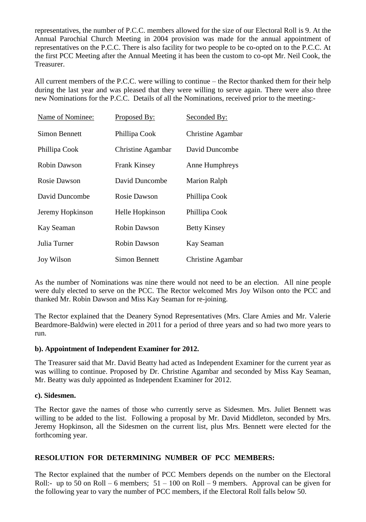representatives, the number of P.C.C. members allowed for the size of our Electoral Roll is 9. At the Annual Parochial Church Meeting in 2004 provision was made for the annual appointment of representatives on the P.C.C. There is also facility for two people to be co-opted on to the P.C.C. At the first PCC Meeting after the Annual Meeting it has been the custom to co-opt Mr. Neil Cook, the Treasurer.

All current members of the P.C.C. were willing to continue – the Rector thanked them for their help during the last year and was pleased that they were willing to serve again. There were also three new Nominations for the P.C.C. Details of all the Nominations, received prior to the meeting:-

| Name of Nominee:    | Proposed By:             | Seconded By:             |
|---------------------|--------------------------|--------------------------|
| Simon Bennett       | Phillipa Cook            | Christine Agambar        |
| Phillipa Cook       | <b>Christine Agambar</b> | David Duncombe           |
| <b>Robin Dawson</b> | <b>Frank Kinsey</b>      | Anne Humphreys           |
| Rosie Dawson        | David Duncombe           | <b>Marion Ralph</b>      |
| David Duncombe      | Rosie Dawson             | Phillipa Cook            |
| Jeremy Hopkinson    | Helle Hopkinson          | Phillipa Cook            |
| Kay Seaman          | <b>Robin Dawson</b>      | <b>Betty Kinsey</b>      |
| Julia Turner        | <b>Robin Dawson</b>      | Kay Seaman               |
| <b>Joy Wilson</b>   | Simon Bennett            | <b>Christine Agambar</b> |

As the number of Nominations was nine there would not need to be an election. All nine people were duly elected to serve on the PCC. The Rector welcomed Mrs Joy Wilson onto the PCC and thanked Mr. Robin Dawson and Miss Kay Seaman for re-joining.

The Rector explained that the Deanery Synod Representatives (Mrs. Clare Amies and Mr. Valerie Beardmore-Baldwin) were elected in 2011 for a period of three years and so had two more years to run.

# **b). Appointment of Independent Examiner for 2012.**

The Treasurer said that Mr. David Beatty had acted as Independent Examiner for the current year as was willing to continue. Proposed by Dr. Christine Agambar and seconded by Miss Kay Seaman, Mr. Beatty was duly appointed as Independent Examiner for 2012.

# **c). Sidesmen.**

The Rector gave the names of those who currently serve as Sidesmen. Mrs. Juliet Bennett was willing to be added to the list. Following a proposal by Mr. David Middleton, seconded by Mrs. Jeremy Hopkinson, all the Sidesmen on the current list, plus Mrs. Bennett were elected for the forthcoming year.

### **RESOLUTION FOR DETERMINING NUMBER OF PCC MEMBERS:**

The Rector explained that the number of PCC Members depends on the number on the Electoral Roll:- up to 50 on Roll – 6 members;  $51 - 100$  on Roll – 9 members. Approval can be given for the following year to vary the number of PCC members, if the Electoral Roll falls below 50.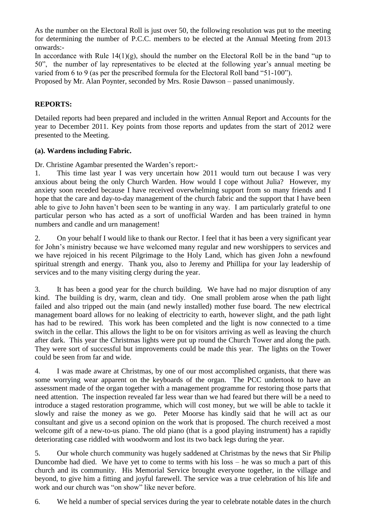As the number on the Electoral Roll is just over 50, the following resolution was put to the meeting for determining the number of P.C.C. members to be elected at the Annual Meeting from 2013 onwards:-

In accordance with Rule  $14(1)(g)$ , should the number on the Electoral Roll be in the band "up to" 50", the number of lay representatives to be elected at the following year's annual meeting be varied from 6 to 9 (as per the prescribed formula for the Electoral Roll band "51-100").

Proposed by Mr. Alan Poynter, seconded by Mrs. Rosie Dawson – passed unanimously.

# **REPORTS:**

Detailed reports had been prepared and included in the written Annual Report and Accounts for the year to December 2011. Key points from those reports and updates from the start of 2012 were presented to the Meeting.

# **(a). Wardens including Fabric.**

Dr. Christine Agambar presented the Warden's report:-

1. This time last year I was very uncertain how 2011 would turn out because I was very anxious about being the only Church Warden. How would I cope without Julia? However, my anxiety soon receded because I have received overwhelming support from so many friends and I hope that the care and day-to-day management of the church fabric and the support that I have been able to give to John haven't been seen to be wanting in any way. I am particularly grateful to one particular person who has acted as a sort of unofficial Warden and has been trained in hymn numbers and candle and urn management!

2. On your behalf I would like to thank our Rector. I feel that it has been a very significant year for John's ministry because we have welcomed many regular and new worshippers to services and we have rejoiced in his recent Pilgrimage to the Holy Land, which has given John a newfound spiritual strength and energy. Thank you, also to Jeremy and Phillipa for your lay leadership of services and to the many visiting clergy during the year.

3. It has been a good year for the church building. We have had no major disruption of any kind. The building is dry, warm, clean and tidy. One small problem arose when the path light failed and also tripped out the main (and newly installed) mother fuse board. The new electrical management board allows for no leaking of electricity to earth, however slight, and the path light has had to be rewired. This work has been completed and the light is now connected to a time switch in the cellar. This allows the light to be on for visitors arriving as well as leaving the church after dark. This year the Christmas lights were put up round the Church Tower and along the path. They were sort of successful but improvements could be made this year. The lights on the Tower could be seen from far and wide.

4. I was made aware at Christmas, by one of our most accomplished organists, that there was some worrying wear apparent on the keyboards of the organ. The PCC undertook to have an assessment made of the organ together with a management programme for restoring those parts that need attention. The inspection revealed far less wear than we had feared but there will be a need to introduce a staged restoration programme, which will cost money, but we will be able to tackle it slowly and raise the money as we go. Peter Moorse has kindly said that he will act as our consultant and give us a second opinion on the work that is proposed. The church received a most welcome gift of a new-to-us piano. The old piano (that is a good playing instrument) has a rapidly deteriorating case riddled with woodworm and lost its two back legs during the year.

5. Our whole church community was hugely saddened at Christmas by the news that Sir Philip Duncombe had died. We have yet to come to terms with his loss – he was so much a part of this church and its community. His Memorial Service brought everyone together, in the village and beyond, to give him a fitting and joyful farewell. The service was a true celebration of his life and work and our church was "on show" like never before.

6. We held a number of special services during the year to celebrate notable dates in the church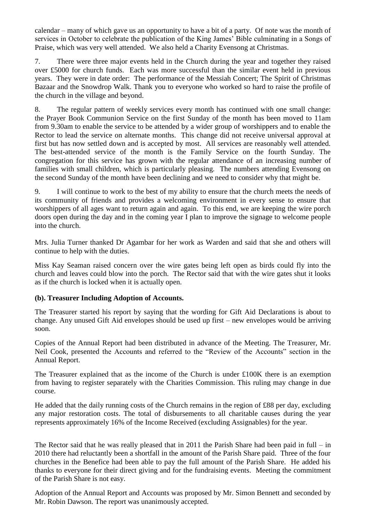calendar – many of which gave us an opportunity to have a bit of a party. Of note was the month of services in October to celebrate the publication of the King James' Bible culminating in a Songs of Praise, which was very well attended. We also held a Charity Evensong at Christmas.

7. There were three major events held in the Church during the year and together they raised over £5000 for church funds. Each was more successful than the similar event held in previous years. They were in date order: The performance of the Messiah Concert; The Spirit of Christmas Bazaar and the Snowdrop Walk. Thank you to everyone who worked so hard to raise the profile of the church in the village and beyond.

8. The regular pattern of weekly services every month has continued with one small change: the Prayer Book Communion Service on the first Sunday of the month has been moved to 11am from 9.30am to enable the service to be attended by a wider group of worshippers and to enable the Rector to lead the service on alternate months. This change did not receive universal approval at first but has now settled down and is accepted by most. All services are reasonably well attended. The best-attended service of the month is the Family Service on the fourth Sunday. The congregation for this service has grown with the regular attendance of an increasing number of families with small children, which is particularly pleasing. The numbers attending Evensong on the second Sunday of the month have been declining and we need to consider why that might be.

9. I will continue to work to the best of my ability to ensure that the church meets the needs of its community of friends and provides a welcoming environment in every sense to ensure that worshippers of all ages want to return again and again. To this end, we are keeping the wire porch doors open during the day and in the coming year I plan to improve the signage to welcome people into the church.

Mrs. Julia Turner thanked Dr Agambar for her work as Warden and said that she and others will continue to help with the duties.

Miss Kay Seaman raised concern over the wire gates being left open as birds could fly into the church and leaves could blow into the porch. The Rector said that with the wire gates shut it looks as if the church is locked when it is actually open.

# **(b). Treasurer Including Adoption of Accounts.**

The Treasurer started his report by saying that the wording for Gift Aid Declarations is about to change. Any unused Gift Aid envelopes should be used up first – new envelopes would be arriving soon.

Copies of the Annual Report had been distributed in advance of the Meeting. The Treasurer, Mr. Neil Cook, presented the Accounts and referred to the "Review of the Accounts" section in the Annual Report.

The Treasurer explained that as the income of the Church is under £100K there is an exemption from having to register separately with the Charities Commission. This ruling may change in due course.

He added that the daily running costs of the Church remains in the region of £88 per day, excluding any major restoration costs. The total of disbursements to all charitable causes during the year represents approximately 16% of the Income Received (excluding Assignables) for the year.

The Rector said that he was really pleased that in 2011 the Parish Share had been paid in full – in 2010 there had reluctantly been a shortfall in the amount of the Parish Share paid. Three of the four churches in the Benefice had been able to pay the full amount of the Parish Share. He added his thanks to everyone for their direct giving and for the fundraising events. Meeting the commitment of the Parish Share is not easy.

Adoption of the Annual Report and Accounts was proposed by Mr. Simon Bennett and seconded by Mr. Robin Dawson. The report was unanimously accepted.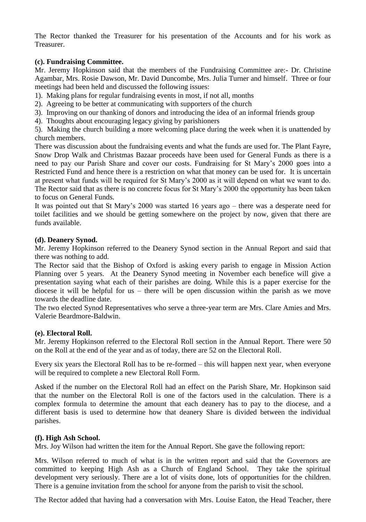The Rector thanked the Treasurer for his presentation of the Accounts and for his work as Treasurer.

## **(c). Fundraising Committee.**

Mr. Jeremy Hopkinson said that the members of the Fundraising Committee are:- Dr. Christine Agambar, Mrs. Rosie Dawson, Mr. David Duncombe, Mrs. Julia Turner and himself. Three or four meetings had been held and discussed the following issues:

- 1). Making plans for regular fundraising events in most, if not all, months
- 2). Agreeing to be better at communicating with supporters of the church
- 3). Improving on our thanking of donors and introducing the idea of an informal friends group
- 4). Thoughts about encouraging legacy giving by parishioners

5). Making the church building a more welcoming place during the week when it is unattended by church members.

There was discussion about the fundraising events and what the funds are used for. The Plant Fayre, Snow Drop Walk and Christmas Bazaar proceeds have been used for General Funds as there is a need to pay our Parish Share and cover our costs. Fundraising for St Mary's 2000 goes into a Restricted Fund and hence there is a restriction on what that money can be used for. It is uncertain at present what funds will be required for St Mary's 2000 as it will depend on what we want to do. The Rector said that as there is no concrete focus for St Mary's 2000 the opportunity has been taken to focus on General Funds.

It was pointed out that St Mary's 2000 was started 16 years ago – there was a desperate need for toilet facilities and we should be getting somewhere on the project by now, given that there are funds available.

### **(d). Deanery Synod.**

Mr. Jeremy Hopkinson referred to the Deanery Synod section in the Annual Report and said that there was nothing to add.

The Rector said that the Bishop of Oxford is asking every parish to engage in Mission Action Planning over 5 years. At the Deanery Synod meeting in November each benefice will give a presentation saying what each of their parishes are doing. While this is a paper exercise for the diocese it will be helpful for us – there will be open discussion within the parish as we move towards the deadline date.

The two elected Synod Representatives who serve a three-year term are Mrs. Clare Amies and Mrs. Valerie Beardmore-Baldwin.

### **(e). Electoral Roll.**

Mr. Jeremy Hopkinson referred to the Electoral Roll section in the Annual Report. There were 50 on the Roll at the end of the year and as of today, there are 52 on the Electoral Roll.

Every six years the Electoral Roll has to be re-formed – this will happen next year, when everyone will be required to complete a new Electoral Roll Form.

Asked if the number on the Electoral Roll had an effect on the Parish Share, Mr. Hopkinson said that the number on the Electoral Roll is one of the factors used in the calculation. There is a complex formula to determine the amount that each deanery has to pay to the diocese, and a different basis is used to determine how that deanery Share is divided between the individual parishes.

### **(f). High Ash School.**

Mrs. Joy Wilson had written the item for the Annual Report. She gave the following report:

Mrs. Wilson referred to much of what is in the written report and said that the Governors are committed to keeping High Ash as a Church of England School. They take the spiritual development very seriously. There are a lot of visits done, lots of opportunities for the children. There is a genuine invitation from the school for anyone from the parish to visit the school.

The Rector added that having had a conversation with Mrs. Louise Eaton, the Head Teacher, there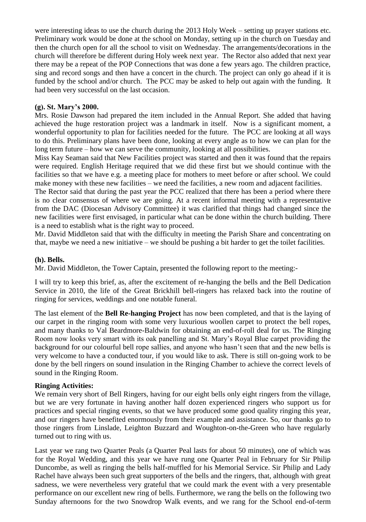were interesting ideas to use the church during the 2013 Holy Week – setting up prayer stations etc. Preliminary work would be done at the school on Monday, setting up in the church on Tuesday and then the church open for all the school to visit on Wednesday. The arrangements/decorations in the church will therefore be different during Holy week next year. The Rector also added that next year there may be a repeat of the POP Connections that was done a few years ago. The children practice, sing and record songs and then have a concert in the church. The project can only go ahead if it is funded by the school and/or church. The PCC may be asked to help out again with the funding. It had been very successful on the last occasion.

## **(g). St. Mary's 2000.**

Mrs. Rosie Dawson had prepared the item included in the Annual Report. She added that having achieved the huge restoration project was a landmark in itself. Now is a significant moment, a wonderful opportunity to plan for facilities needed for the future. The PCC are looking at all ways to do this. Preliminary plans have been done, looking at every angle as to how we can plan for the long term future – how we can serve the community, looking at all possibilities.

Miss Kay Seaman said that New Facilities project was started and then it was found that the repairs were required. English Heritage required that we did these first but we should continue with the facilities so that we have e.g. a meeting place for mothers to meet before or after school. We could make money with these new facilities – we need the facilities, a new room and adjacent facilities.

The Rector said that during the past year the PCC realized that there has been a period where there is no clear consensus of where we are going. At a recent informal meeting with a representative from the DAC (Diocesan Advisory Committee) it was clarified that things had changed since the new facilities were first envisaged, in particular what can be done within the church building. There is a need to establish what is the right way to proceed.

Mr. David Middleton said that with the difficulty in meeting the Parish Share and concentrating on that, maybe we need a new initiative – we should be pushing a bit harder to get the toilet facilities.

### **(h). Bells.**

Mr. David Middleton, the Tower Captain, presented the following report to the meeting:-

I will try to keep this brief, as, after the excitement of re-hanging the bells and the Bell Dedication Service in 2010, the life of the Great Brickhill bell-ringers has relaxed back into the routine of ringing for services, weddings and one notable funeral.

The last element of the **Bell Re-hanging Project** has now been completed, and that is the laying of our carpet in the ringing room with some very luxurious woollen carpet to protect the bell ropes, and many thanks to Val Beardmore-Baldwin for obtaining an end-of-roll deal for us. The Ringing Room now looks very smart with its oak panelling and St. Mary's Royal Blue carpet providing the background for our colourful bell rope sallies, and anyone who hasn't seen that and the new bells is very welcome to have a conducted tour, if you would like to ask. There is still on-going work to be done by the bell ringers on sound insulation in the Ringing Chamber to achieve the correct levels of sound in the Ringing Room.

### **Ringing Activities:**

We remain very short of Bell Ringers, having for our eight bells only eight ringers from the village, but we are very fortunate in having another half dozen experienced ringers who support us for practices and special ringing events, so that we have produced some good quality ringing this year, and our ringers have benefited enormously from their example and assistance. So, our thanks go to those ringers from Linslade, Leighton Buzzard and Woughton-on-the-Green who have regularly turned out to ring with us.

Last year we rang two Quarter Peals (a Quarter Peal lasts for about 50 minutes), one of which was for the Royal Wedding, and this year we have rung one Quarter Peal in February for Sir Philip Duncombe, as well as ringing the bells half-muffled for his Memorial Service. Sir Philip and Lady Rachel have always been such great supporters of the bells and the ringers, that, although with great sadness, we were nevertheless very grateful that we could mark the event with a very presentable performance on our excellent new ring of bells. Furthermore, we rang the bells on the following two Sunday afternoons for the two Snowdrop Walk events, and we rang for the School end-of-term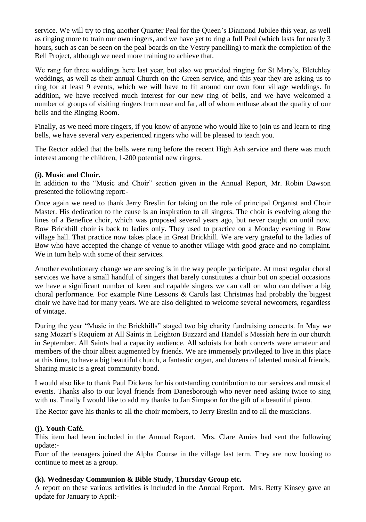service. We will try to ring another Quarter Peal for the Queen's Diamond Jubilee this year, as well as ringing more to train our own ringers, and we have yet to ring a full Peal (which lasts for nearly 3 hours, such as can be seen on the peal boards on the Vestry panelling) to mark the completion of the Bell Project, although we need more training to achieve that.

We rang for three weddings here last year, but also we provided ringing for St Mary's, Bletchley weddings, as well as their annual Church on the Green service, and this year they are asking us to ring for at least 9 events, which we will have to fit around our own four village weddings. In addition, we have received much interest for our new ring of bells, and we have welcomed a number of groups of visiting ringers from near and far, all of whom enthuse about the quality of our bells and the Ringing Room.

Finally, as we need more ringers, if you know of anyone who would like to join us and learn to ring bells, we have several very experienced ringers who will be pleased to teach you.

The Rector added that the bells were rung before the recent High Ash service and there was much interest among the children, 1-200 potential new ringers.

# **(i). Music and Choir.**

In addition to the "Music and Choir" section given in the Annual Report, Mr. Robin Dawson presented the following report:-

Once again we need to thank Jerry Breslin for taking on the role of principal Organist and Choir Master. His dedication to the cause is an inspiration to all singers. The choir is evolving along the lines of a Benefice choir, which was proposed several years ago, but never caught on until now. Bow Brickhill choir is back to ladies only. They used to practice on a Monday evening in Bow village hall. That practice now takes place in Great Brickhill. We are very grateful to the ladies of Bow who have accepted the change of venue to another village with good grace and no complaint. We in turn help with some of their services.

Another evolutionary change we are seeing is in the way people participate. At most regular choral services we have a small handful of singers that barely constitutes a choir but on special occasions we have a significant number of keen and capable singers we can call on who can deliver a big choral performance. For example Nine Lessons & Carols last Christmas had probably the biggest choir we have had for many years. We are also delighted to welcome several newcomers, regardless of vintage.

During the year "Music in the Brickhills" staged two big charity fundraising concerts. In May we sang Mozart's Requiem at All Saints in Leighton Buzzard and Handel's Messiah here in our church in September. All Saints had a capacity audience. All soloists for both concerts were amateur and members of the choir albeit augmented by friends. We are immensely privileged to live in this place at this time, to have a big beautiful church, a fantastic organ, and dozens of talented musical friends. Sharing music is a great community bond.

I would also like to thank Paul Dickens for his outstanding contribution to our services and musical events. Thanks also to our loyal friends from Danesborough who never need asking twice to sing with us. Finally I would like to add my thanks to Jan Simpson for the gift of a beautiful piano.

The Rector gave his thanks to all the choir members, to Jerry Breslin and to all the musicians.

# **(j). Youth Café.**

This item had been included in the Annual Report. Mrs. Clare Amies had sent the following update:-

Four of the teenagers joined the Alpha Course in the village last term. They are now looking to continue to meet as a group.

### **(k). Wednesday Communion & Bible Study, Thursday Group etc.**

A report on these various activities is included in the Annual Report. Mrs. Betty Kinsey gave an update for January to April:-